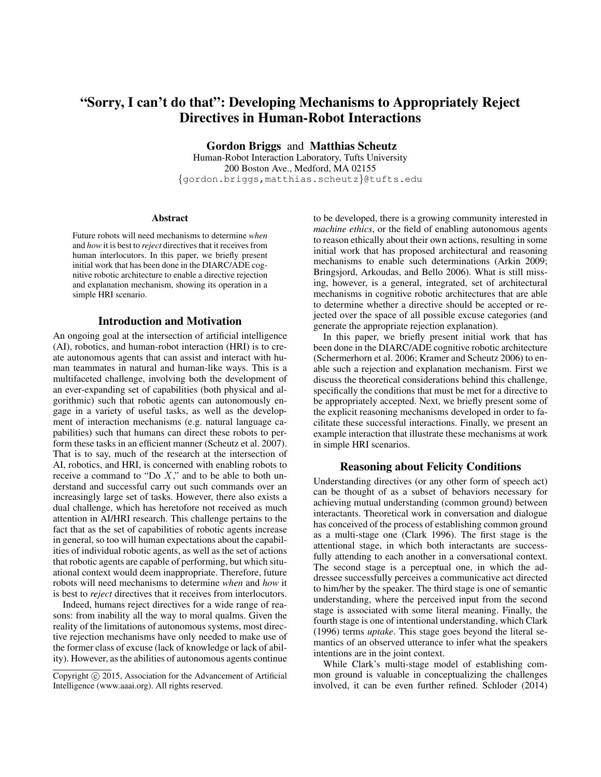# "Sorry, I can't do that": Developing Mechanisms to Appropriately Reject Directives in Human-Robot Interactions

Gordon Briggs and Matthias Scheutz

Human-Robot Interaction Laboratory, Tufts University 200 Boston Ave., Medford, MA 02155 {gordon.briggs,matthias.scheutz}@tufts.edu

#### **Abstract**

Future robots will need mechanisms to determine *when* and *how* it is best to *reject* directives that it receives from human interlocutors. In this paper, we briefly present initial work that has been done in the DIARC/ADE cognitive robotic architecture to enable a directive rejection and explanation mechanism, showing its operation in a simple HRI scenario.

#### Introduction and Motivation

An ongoing goal at the intersection of artificial intelligence (AI), robotics, and human-robot interaction (HRI) is to create autonomous agents that can assist and interact with human teammates in natural and human-like ways. This is a multifaceted challenge, involving both the development of an ever-expanding set of capabilities (both physical and algorithmic) such that robotic agents can autonomously engage in a variety of useful tasks, as well as the development of interaction mechanisms (e.g. natural language capabilities) such that humans can direct these robots to perform these tasks in an efficient manner (Scheutz et al. 2007). That is to say, much of the research at the intersection of AI, robotics, and HRI, is concerned with enabling robots to receive a command to "Do  $X$ ," and to be able to both understand and successful carry out such commands over an increasingly large set of tasks. However, there also exists a dual challenge, which has heretofore not received as much attention in AI/HRI research. This challenge pertains to the fact that as the set of capabilities of robotic agents increase in general, so too will human expectations about the capabilities of individual robotic agents, as well as the set of actions that robotic agents are capable of performing, but which situational context would deem inappropriate. Therefore, future robots will need mechanisms to determine *when* and *how* it is best to *reject* directives that it receives from interlocutors.

Indeed, humans reject directives for a wide range of reasons: from inability all the way to moral qualms. Given the reality of the limitations of autonomous systems, most directive rejection mechanisms have only needed to make use of the former class of excuse (lack of knowledge or lack of ability). However, as the abilities of autonomous agents continue

to be developed, there is a growing community interested in *machine ethics*, or the field of enabling autonomous agents to reason ethically about their own actions, resulting in some initial work that has proposed architectural and reasoning mechanisms to enable such determinations (Arkin 2009; Bringsjord, Arkoudas, and Bello 2006). What is still missing, however, is a general, integrated, set of architectural mechanisms in cognitive robotic architectures that are able to determine whether a directive should be accepted or rejected over the space of all possible excuse categories (and generate the appropriate rejection explanation).

In this paper, we briefly present initial work that has been done in the DIARC/ADE cognitive robotic architecture (Schermerhorn et al. 2006; Kramer and Scheutz 2006) to enable such a rejection and explanation mechanism. First we discuss the theoretical considerations behind this challenge, specifically the conditions that must be met for a directive to be appropriately accepted. Next, we briefly present some of the explicit reasoning mechanisms developed in order to facilitate these successful interactions. Finally, we present an example interaction that illustrate these mechanisms at work in simple HRI scenarios.

### Reasoning about Felicity Conditions

Understanding directives (or any other form of speech act) can be thought of as a subset of behaviors necessary for achieving mutual understanding (common ground) between interactants. Theoretical work in conversation and dialogue has conceived of the process of establishing common ground as a multi-stage one (Clark 1996). The first stage is the attentional stage, in which both interactants are successfully attending to each another in a conversational context. The second stage is a perceptual one, in which the addressee successfully perceives a communicative act directed to him/her by the speaker. The third stage is one of semantic understanding, where the perceived input from the second stage is associated with some literal meaning. Finally, the fourth stage is one of intentional understanding, which Clark (1996) terms *uptake*. This stage goes beyond the literal semantics of an observed utterance to infer what the speakers intentions are in the joint context.

While Clark's multi-stage model of establishing common ground is valuable in conceptualizing the challenges involved, it can be even further refined. Schloder (2014)

Copyright (c) 2015, Association for the Advancement of Artificial Intelligence (www.aaai.org). All rights reserved.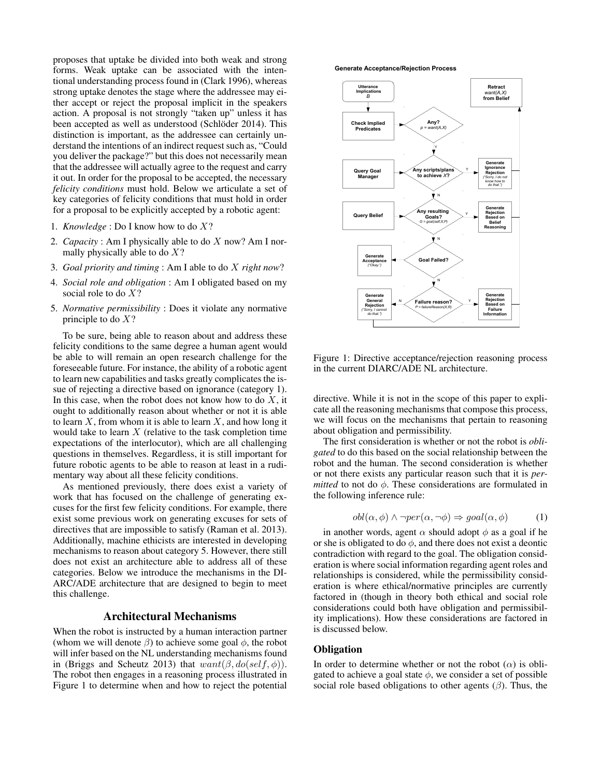proposes that uptake be divided into both weak and strong forms. Weak uptake can be associated with the intentional understanding process found in (Clark 1996), whereas strong uptake denotes the stage where the addressee may either accept or reject the proposal implicit in the speakers action. A proposal is not strongly "taken up" unless it has been accepted as well as understood (Schlöder 2014). This distinction is important, as the addressee can certainly understand the intentions of an indirect request such as, "Could you deliver the package?" but this does not necessarily mean that the addressee will actually agree to the request and carry it out. In order for the proposal to be accepted, the necessary *felicity conditions* must hold. Below we articulate a set of key categories of felicity conditions that must hold in order for a proposal to be explicitly accepted by a robotic agent:

- 1. *Knowledge* : Do I know how to do X?
- 2. *Capacity* : Am I physically able to do X now? Am I normally physically able to do  $X$ ?
- 3. *Goal priority and timing* : Am I able to do X *right now*?
- 4. *Social role and obligation* : Am I obligated based on my social role to do X?
- 5. *Normative permissibility* : Does it violate any normative principle to do  $X$ ?

To be sure, being able to reason about and address these felicity conditions to the same degree a human agent would be able to will remain an open research challenge for the foreseeable future. For instance, the ability of a robotic agent to learn new capabilities and tasks greatly complicates the issue of rejecting a directive based on ignorance (category 1). In this case, when the robot does not know how to do  $X$ , it ought to additionally reason about whether or not it is able to learn  $X$ , from whom it is able to learn  $X$ , and how long it would take to learn  $X$  (relative to the task completion time expectations of the interlocutor), which are all challenging questions in themselves. Regardless, it is still important for future robotic agents to be able to reason at least in a rudimentary way about all these felicity conditions.

As mentioned previously, there does exist a variety of work that has focused on the challenge of generating excuses for the first few felicity conditions. For example, there exist some previous work on generating excuses for sets of directives that are impossible to satisfy (Raman et al. 2013). Additionally, machine ethicists are interested in developing mechanisms to reason about category 5. However, there still does not exist an architecture able to address all of these categories. Below we introduce the mechanisms in the DI-ARC/ADE architecture that are designed to begin to meet this challenge.

#### Architectural Mechanisms

When the robot is instructed by a human interaction partner (whom we will denote  $\beta$ ) to achieve some goal  $\phi$ , the robot will infer based on the NL understanding mechanisms found in (Briggs and Scheutz 2013) that  $want(\beta, do(self, \phi))$ . The robot then engages in a reasoning process illustrated in Figure 1 to determine when and how to reject the potential

#### **Generate Acceptance/Rejection Process**



Figure 1: Directive acceptance/rejection reasoning process in the current DIARC/ADE NL architecture.

directive. While it is not in the scope of this paper to explicate all the reasoning mechanisms that compose this process, we will focus on the mechanisms that pertain to reasoning about obligation and permissibility.

The first consideration is whether or not the robot is *obligated* to do this based on the social relationship between the robot and the human. The second consideration is whether or not there exists any particular reason such that it is *permitted* to not do  $\phi$ . These considerations are formulated in the following inference rule:

$$
obl(\alpha, \phi) \land \neg per(\alpha, \neg \phi) \Rightarrow goal(\alpha, \phi)
$$
 (1)

in another words, agent  $\alpha$  should adopt  $\phi$  as a goal if he or she is obligated to do  $\phi$ , and there does not exist a deontic contradiction with regard to the goal. The obligation consideration is where social information regarding agent roles and relationships is considered, while the permissibility consideration is where ethical/normative principles are currently factored in (though in theory both ethical and social role considerations could both have obligation and permissibility implications). How these considerations are factored in is discussed below.

#### **Obligation**

In order to determine whether or not the robot  $(\alpha)$  is obligated to achieve a goal state  $\phi$ , we consider a set of possible social role based obligations to other agents  $(\beta)$ . Thus, the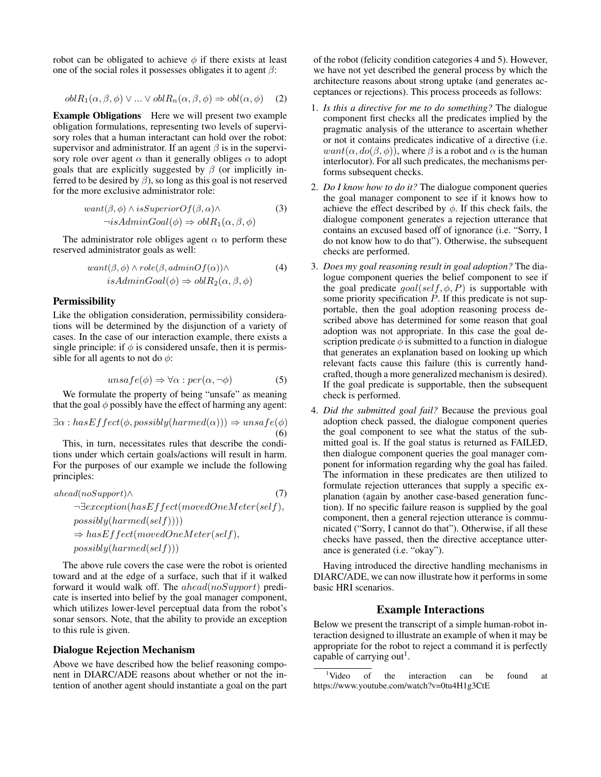robot can be obligated to achieve  $\phi$  if there exists at least one of the social roles it possesses obligates it to agent  $\beta$ :

$$
oblR_1(\alpha, \beta, \phi) \lor ... \lor oblR_n(\alpha, \beta, \phi) \Rightarrow obl(\alpha, \phi) \quad (2)
$$

Example Obligations Here we will present two example obligation formulations, representing two levels of supervisory roles that a human interactant can hold over the robot: supervisor and administrator. If an agent  $\beta$  is in the supervisory role over agent  $\alpha$  than it generally obliges  $\alpha$  to adopt goals that are explicitly suggested by  $\beta$  (or implicitly inferred to be desired by  $\beta$ ), so long as this goal is not reserved for the more exclusive administrator role:

$$
want(\beta, \phi) \land isSuperiorOf(\beta, \alpha) \land \n\neg isAdminGoal(\phi) \Rightarrow oblR_1(\alpha, \beta, \phi)
$$
\n(3)

The administrator role obliges agent  $\alpha$  to perform these reserved administrator goals as well:

$$
want(\beta, \phi) \land role(\beta, adminOf(\alpha)) \land isAdminGoal(\phi) \Rightarrow oblR_2(\alpha, \beta, \phi)
$$
\n(4)

#### Permissibility

Like the obligation consideration, permissibility considerations will be determined by the disjunction of a variety of cases. In the case of our interaction example, there exists a single principle: if  $\phi$  is considered unsafe, then it is permissible for all agents to not do  $\phi$ :

$$
unsafe(\phi) \Rightarrow \forall \alpha : per(\alpha, \neg \phi)
$$
 (5)

We formulate the property of being "unsafe" as meaning that the goal  $\phi$  possibly have the effect of harming any agent:

$$
\exists \alpha : hasEffect(\phi, possibly(harmed(\alpha))) \Rightarrow unsafe(\phi)
$$
  
(6)

This, in turn, necessitates rules that describe the conditions under which certain goals/actions will result in harm. For the purposes of our example we include the following principles:

$$
a head (noSupport) \land \n\neg\exists exception (hasEffect (move dOneMeter(self)),\n\npossibly (harmed(self))))\n\nRightarrow hasEffect (move dOneMeter(self),\n\npossibly (harmed(self)))
$$

The above rule covers the case were the robot is oriented toward and at the edge of a surface, such that if it walked forward it would walk off. The ahead(noSupport) predicate is inserted into belief by the goal manager component, which utilizes lower-level perceptual data from the robot's sonar sensors. Note, that the ability to provide an exception to this rule is given.

#### Dialogue Rejection Mechanism

Above we have described how the belief reasoning component in DIARC/ADE reasons about whether or not the intention of another agent should instantiate a goal on the part of the robot (felicity condition categories 4 and 5). However, we have not yet described the general process by which the architecture reasons about strong uptake (and generates acceptances or rejections). This process proceeds as follows:

- 1. *Is this a directive for me to do something?* The dialogue component first checks all the predicates implied by the pragmatic analysis of the utterance to ascertain whether or not it contains predicates indicative of a directive (i.e.  $want(\alpha, do(\beta, \phi))$ , where  $\beta$  is a robot and  $\alpha$  is the human interlocutor). For all such predicates, the mechanisms performs subsequent checks.
- 2. *Do I know how to do it?* The dialogue component queries the goal manager component to see if it knows how to achieve the effect described by  $\phi$ . If this check fails, the dialogue component generates a rejection utterance that contains an excused based off of ignorance (i.e. "Sorry, I do not know how to do that"). Otherwise, the subsequent checks are performed.
- 3. *Does my goal reasoning result in goal adoption?* The dialogue component queries the belief component to see if the goal predicate  $goal(self, \phi, P)$  is supportable with some priority specification  $P$ . If this predicate is not supportable, then the goal adoption reasoning process described above has determined for some reason that goal adoption was not appropriate. In this case the goal description predicate  $\phi$  is submitted to a function in dialogue that generates an explanation based on looking up which relevant facts cause this failure (this is currently handcrafted, though a more generalized mechanism is desired). If the goal predicate is supportable, then the subsequent check is performed.
- 4. *Did the submitted goal fail?* Because the previous goal adoption check passed, the dialogue component queries the goal component to see what the status of the submitted goal is. If the goal status is returned as FAILED, then dialogue component queries the goal manager component for information regarding why the goal has failed. The information in these predicates are then utilized to formulate rejection utterances that supply a specific explanation (again by another case-based generation function). If no specific failure reason is supplied by the goal component, then a general rejection utterance is communicated ("Sorry, I cannot do that"). Otherwise, if all these checks have passed, then the directive acceptance utterance is generated (i.e. "okay").

Having introduced the directive handling mechanisms in DIARC/ADE, we can now illustrate how it performs in some basic HRI scenarios.

#### Example Interactions

Below we present the transcript of a simple human-robot interaction designed to illustrate an example of when it may be appropriate for the robot to reject a command it is perfectly capable of carrying out<sup>1</sup>.

<sup>&</sup>lt;sup>1</sup>Video of the interaction can be found at https://www.youtube.com/watch?v=0tu4H1g3CtE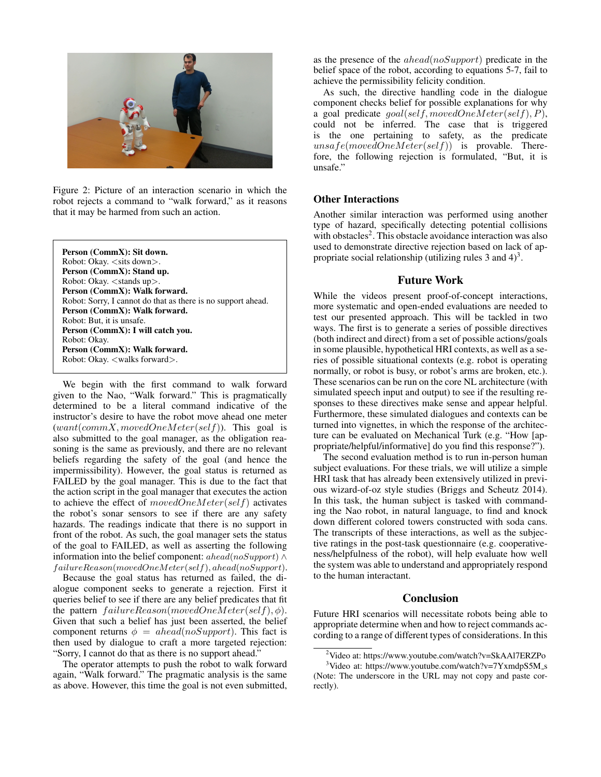

Figure 2: Picture of an interaction scenario in which the robot rejects a command to "walk forward," as it reasons that it may be harmed from such an action.

| Person (CommX): Sit down.                                    |
|--------------------------------------------------------------|
| Robot: Okay. $\lt$ sits down $>$ .                           |
| Person (CommX): Stand up.                                    |
| Robot: Okay. $\lt$ stands up $\gt$ .                         |
| Person (CommX): Walk forward.                                |
| Robot: Sorry, I cannot do that as there is no support ahead. |
| Person (CommX): Walk forward.                                |
| Robot: But, it is unsafe.                                    |
| Person (CommX): I will catch you.                            |
| Robot: Okay.                                                 |
| Person (CommX): Walk forward.                                |
| Robot: Okay. <walks forward="">.</walks>                     |
|                                                              |

We begin with the first command to walk forward given to the Nao, "Walk forward." This is pragmatically determined to be a literal command indicative of the instructor's desire to have the robot move ahead one meter  $(want|commX, movedOneMeter(self))$ . This goal is also submitted to the goal manager, as the obligation reasoning is the same as previously, and there are no relevant beliefs regarding the safety of the goal (and hence the impermissibility). However, the goal status is returned as FAILED by the goal manager. This is due to the fact that the action script in the goal manager that executes the action to achieve the effect of movedOneMeter(self) activates the robot's sonar sensors to see if there are any safety hazards. The readings indicate that there is no support in front of the robot. As such, the goal manager sets the status of the goal to FAILED, as well as asserting the following information into the belief component: ahead(noSupport)  $\land$ f ailureReason(movedOneMeter(self), ahead(noSupport).

Because the goal status has returned as failed, the dialogue component seeks to generate a rejection. First it queries belief to see if there are any belief predicates that fit the pattern  $failureReason(movedOneMeter(self), \phi)$ . Given that such a belief has just been asserted, the belief component returns  $\phi = ahead(noSupport)$ . This fact is then used by dialogue to craft a more targeted rejection: "Sorry, I cannot do that as there is no support ahead."

The operator attempts to push the robot to walk forward again, "Walk forward." The pragmatic analysis is the same as above. However, this time the goal is not even submitted, as the presence of the ahead(noSupport) predicate in the belief space of the robot, according to equations 5-7, fail to achieve the permissibility felicity condition.

As such, the directive handling code in the dialogue component checks belief for possible explanations for why a goal predicate  $goal(self, movedOneMeter(self), P),$ could not be inferred. The case that is triggered is the one pertaining to safety, as the predicate  $unsafe(movedOneMeter(self))$  is provable. Therefore, the following rejection is formulated, "But, it is unsafe."

### Other Interactions

Another similar interaction was performed using another type of hazard, specifically detecting potential collisions with obstacles<sup>2</sup>. This obstacle avoidance interaction was also used to demonstrate directive rejection based on lack of appropriate social relationship (utilizing rules 3 and  $4$ )<sup>3</sup>.

### Future Work

While the videos present proof-of-concept interactions, more systematic and open-ended evaluations are needed to test our presented approach. This will be tackled in two ways. The first is to generate a series of possible directives (both indirect and direct) from a set of possible actions/goals in some plausible, hypothetical HRI contexts, as well as a series of possible situational contexts (e.g. robot is operating normally, or robot is busy, or robot's arms are broken, etc.). These scenarios can be run on the core NL architecture (with simulated speech input and output) to see if the resulting responses to these directives make sense and appear helpful. Furthermore, these simulated dialogues and contexts can be turned into vignettes, in which the response of the architecture can be evaluated on Mechanical Turk (e.g. "How [appropriate/helpful/informative] do you find this response?").

The second evaluation method is to run in-person human subject evaluations. For these trials, we will utilize a simple HRI task that has already been extensively utilized in previous wizard-of-oz style studies (Briggs and Scheutz 2014). In this task, the human subject is tasked with commanding the Nao robot, in natural language, to find and knock down different colored towers constructed with soda cans. The transcripts of these interactions, as well as the subjective ratings in the post-task questionnaire (e.g. cooperativeness/helpfulness of the robot), will help evaluate how well the system was able to understand and appropriately respond to the human interactant.

## **Conclusion**

Future HRI scenarios will necessitate robots being able to appropriate determine when and how to reject commands according to a range of different types of considerations. In this

<sup>2</sup>Video at: https://www.youtube.com/watch?v=SkAAl7ERZPo

 $3$ Video at: https://www.youtube.com/watch?v=7YxmdpS5M\_s (Note: The underscore in the URL may not copy and paste correctly).